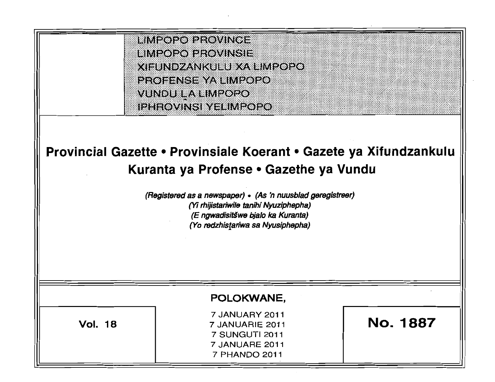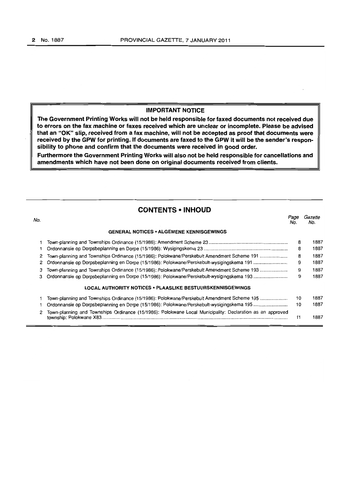# **IMPORTANT NOTICE**

**The Government Printing Works will not be held responsible for faxed documents not received due to errors on the fax machine or faxes received which are unclear or incomplete. Please be advised that an "OK" slip, received from a fax machine, will not be accepted as proof that documents were received by the GPW for printing. If documents are faxed to the GPW it will be the sender's responsibility to phone and confirm that the documents were received in good order.** 

**Furthermore the Government Printing Works will also not be held responsible for cancellations and amendments which have not been done on original documents received from clients.** 

# **CONTENTS • INHOUD**

| No. |                                                                                                           | Page<br>No. | Gazette<br>No. |
|-----|-----------------------------------------------------------------------------------------------------------|-------------|----------------|
|     | <b>GENERAL NOTICES • ALGEMENE KENNISGEWINGS</b>                                                           |             |                |
|     |                                                                                                           | 8           | 1887           |
|     |                                                                                                           | 8           | 1887           |
| 2   | Town-planning and Townships Ordinance (15/1986): Polokwane/Perskebult Amendment Scheme 191                | 8           | 1887           |
| 2   | Ordonnansie op Dorpsbeplanning en Dorpe (15/1986): Polokwane/Perskebult-wysigingskema 191                 | 9           | 1887           |
| з   | Town-planning and Townships Ordinance (15/1986): Polokwane/Perskebult Amendment Scheme 193                | 9           | 1887           |
| з   |                                                                                                           | 9           | 1887           |
|     | LOCAL AUTHORITY NOTICES . PLAASLIKE BESTUURSKENNISGEWINGS                                                 |             |                |
|     | Town-planning and Townships Ordinance (15/1986): Polokwane/Perskebult Amendment Scheme 195                | 10          | 1887           |
|     | Ordonnansie op Dorpsbeplanning en Dorpe (15/1986): Polokwane/Perskebult-wysigingskema 195                 | 10          | 1887           |
|     | Town-planning and Townships Ordinance (15/1986): Polokwane Local Municipality: Declaration as an approved | 11          | 1887           |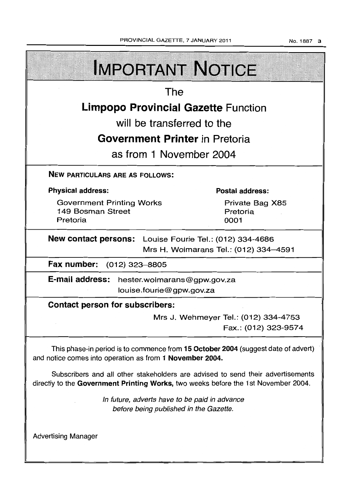No.1887 3

| <b>IMPORTANT NOTICE</b>                                                                                                                                               |                                     |  |  |  |  |  |
|-----------------------------------------------------------------------------------------------------------------------------------------------------------------------|-------------------------------------|--|--|--|--|--|
| The                                                                                                                                                                   |                                     |  |  |  |  |  |
| <b>Limpopo Provincial Gazette Function</b>                                                                                                                            |                                     |  |  |  |  |  |
| will be transferred to the                                                                                                                                            |                                     |  |  |  |  |  |
| <b>Government Printer</b> in Pretoria                                                                                                                                 |                                     |  |  |  |  |  |
| as from 1 November 2004                                                                                                                                               |                                     |  |  |  |  |  |
| <b>NEW PARTICULARS ARE AS FOLLOWS:</b>                                                                                                                                |                                     |  |  |  |  |  |
| <b>Physical address:</b>                                                                                                                                              | <b>Postal address:</b>              |  |  |  |  |  |
| <b>Government Printing Works</b><br>149 Bosman Street<br>Pretoria                                                                                                     | Private Bag X85<br>Pretoria<br>0001 |  |  |  |  |  |
| New contact persons: Louise Fourie Tel.: (012) 334-4686<br>Mrs H. Wolmarans Tel.: (012) 334-4591                                                                      |                                     |  |  |  |  |  |
| Fax number: (012) 323-8805                                                                                                                                            |                                     |  |  |  |  |  |
| E-mail address: hester.wolmarans@gpw.gov.za<br>louise.fourie@gpw.gov.za                                                                                               |                                     |  |  |  |  |  |
| <b>Contact person for subscribers:</b>                                                                                                                                |                                     |  |  |  |  |  |
| Mrs J. Wehmeyer Tel.: (012) 334-4753<br>Fax.: (012) 323-9574                                                                                                          |                                     |  |  |  |  |  |
| This phase-in period is to commence from 15 October 2004 (suggest date of advert)<br>and notice comes into operation as from 1 November 2004.                         |                                     |  |  |  |  |  |
| Subscribers and all other stakeholders are advised to send their advertisements<br>directly to the Government Printing Works, two weeks before the 1st November 2004. |                                     |  |  |  |  |  |
| In future, adverts have to be paid in advance<br>before being published in the Gazette.                                                                               |                                     |  |  |  |  |  |
| <b>Advertising Manager</b>                                                                                                                                            |                                     |  |  |  |  |  |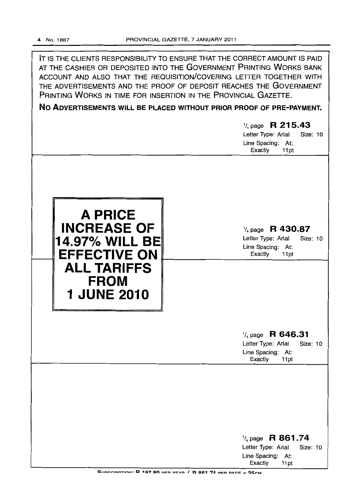IT IS THE CLIENTS RESPONSIBILITY TO ENSURE THAT THE CORRECT AMOUNT IS PAID AT THE CASHIER OR DEPOSITED INTO THE GOVERNMENT PRINTING WORKS BANK ACCOUNT AND ALSO THAT THE REQUISITION/COVERING LETTER TOGETHER WITH THE ADVERTISEMENTS AND THE PROOF OF DEPOSIT REACHES THE GOVERNMENT PRINTING WORKS IN TIME FOR INSERTION IN THE PROVINCIAL GAZETTE.

**No ADVERTISEMENTS WILL BE PLACED WITHOUT PRIOR PROOF OF PRE-PAYMENT.** 

|                                                                                                                                   | $\frac{1}{4}$ page R 215.43<br>Letter Type: Arial<br>Size: 10<br>Line Spacing: At:<br>Exactly<br>11pt           |
|-----------------------------------------------------------------------------------------------------------------------------------|-----------------------------------------------------------------------------------------------------------------|
| A PRICE<br><b>INCREASE OF</b><br>14.97% WILL BE<br><b>EFFECTIVE ON</b><br><b>ALL TARIFFS</b><br><b>FROM</b><br><b>1 JUNE 2010</b> | $\frac{1}{4}$ page R 430.87<br>Letter Type: Arial<br>Size: 10<br>Line Spacing: At:<br>Exactly<br>11pt           |
|                                                                                                                                   | $\frac{1}{4}$ page R 646.31<br>Letter Type: Arial<br>Size: 10<br>Line Spacing: At:<br>Exactly<br>11pt           |
|                                                                                                                                   |                                                                                                                 |
|                                                                                                                                   | R 861.74<br>$\frac{1}{4}$ page<br>Letter Type: Arial<br><b>Size: 10</b><br>Line Spacing: At:<br>Exactly<br>11pt |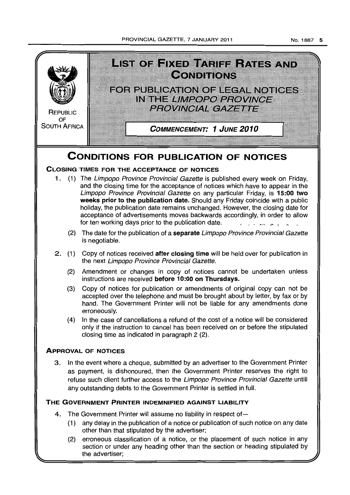PROVINCIAL GAZETTE, 7 JANUARY 2011



the advertiser;

No.1887 5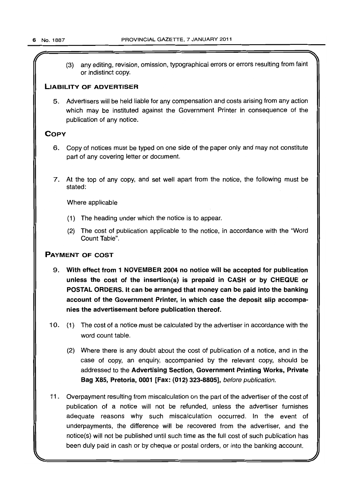(3) any editing, revision, omission, typographical errors or errors resulting from faint or indistinct copy.

# LIABILITY OF ADVERTISER

5. Advertisers will be held liable for any compensation and costs arising from any action which may be instituted against the Government Printer in consequence of the publication of any notice.

# **COPY**

- 6. Copy of notices must be typed on one side of the paper only and may not constitute part of any covering letter or document.
- 7. At the top of any copy, and set well apart from the notice, the following must be stated:

Where applicable

- (1) The heading under which the notice is to appear.
- (2) The cost of publication applicable to the notice, in accordance with the "Word Count Table".

# PAYMENT OF COST

- 9. With effect from 1 NOVEMBER 2004 no notice will be accepted for publication unless the cost of the insertion(s) is prepaid in CASH or by CHEQUE or POSTAL ORDERS. It can be arranged that money can be paid into the banking account of the Government Printer, in which case the deposit slip accompanies the advertisement before publication thereof.
- 10. (1) The cost of a notice must be calculated by the advertiser in accordance with the word count table.
	- (2) Where there is any doubt about the cost of publication of a notice, and in the case of copy, an enquiry, accompanied by the relevant copy, should be addressed to the Advertising Section, Government Printing Works, Private Bag X85, Pretoria, 0001 [Fax: (012) 323-8805], before publication.
- 11 . Overpayment resulting from miscalculation on the part of the advertiser of the cost of publication of a notice will not be refunded, unless the advertiser furnishes adequate reasons why such miscalculation occurred. In the event of underpayments, the difference will be recovered from the advertiser, and the notice(s) will not be published until such time as the full cost of such publication has been duly paid in cash or by cheque or postal orders, or into the banking account.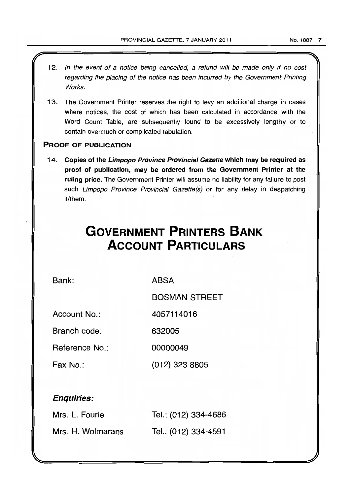- 12. In the event of a notice being cancelled, a refund will be made only if no cost regarding the placing of the notice has been incurred by the Government Printing Works.
- 13. The Government Printer reserves the right to levy an additional charge in cases where notices, the cost of which has been calculated in accordance with the Word Count Table, are subsequently found to be excessively lengthy or to contain overmuch or complicated tabulation.

# PROOF OF PUBLICATION

14. Copies of the Limpopo Province Provincial Gazette which may be required as proof of publication, may be ordered from the Government Printer at the ruling price. The Government Printer will assume no liability for any failure to post such Limpopo Province Provincial Gazette(s) or for any delay in despatching it/them.

# **GOVERNMENT PRINTERS BANK ACCOUNT PARTICULARS**

Bank:

ABSA

BOSMAN STREET

Account No.: 4057114016

Branch code: 632005

Reference No.: 00000049

Fax No.: (012) 323 8805

# Enquiries:

| Mrs. L. Fourie    | Tel.: (012) 334-4686 |
|-------------------|----------------------|
| Mrs. H. Wolmarans | Tel.: (012) 334-4591 |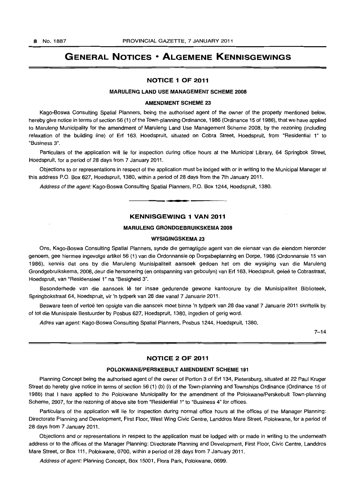# **GENERAL NOTICES • ALGEMENE KENNISGEWINGS**

#### **NOTICE 1 OF 2011**

#### **MARULENG LAND USE MANAGEMENT SCHEME 2008**

#### **AMENDMENT SCHEME 23**

Kago-Boswa Consulting Spatial Planners, being the authorised agent of the owner of the property mentioned below, hereby give notice in terms of section 56 (1) of the Town-planning Ordinance, 1986 (Ordinance 15 of 1986), that we have applied to Maruleng Municipality for the amendment of Maruleng Land Use Management Scheme 2008, by the rezoning (including relaxation of the building line) of Ert 163, Hoedspruit, situated on Cobra Street, Hoedspruit, from "Residential 1" to "Business 3".

Particulars of the application will lie for inspection during office hours at the Municipal Library, 64 Springbok Street, Hoedspruit, for a period of 28 days from 7 January 2011.

Objections to or representations in respect of the application must be lodged with or in writing to the Municipal Manager at this address P.O. Box 627, Hoedspruit, 1380, within a period of 28 days from the 7th January 2011.

Address of the agent: Kago-Boswa Consulting Spatial Planners, P.O. Box 1244, Hoedspruit, 1380. . **-.** 

# **KENNISGEWING 1 VAN 2011**

#### **MARULENG GRONDGEBRUIKSKEMA 2008**

#### **WYSIGINGSKEMA 23**

Ons, Kago-Boswa Consulting Spatial Planners, synde die gemagtigde agent van die eienaar van die eiendom hieronder genoem, gee hiermee ingevolge artikel 56 (1) van die Ordonnansie op Dorpsbeplanning en Dorpe, 1986 (Ordonnansie 15 van 1986), kennis dat ons by die Maruleng Munisipaliteit aansoek gedoen het om die wysiging van die Maruleng Grondgebruikskema, 2008, deur die hersonering (en ontspanning van geboulyn) van Erf 163, Hoedspruit, gelee te Cobrastraat, Hoedspruit, van "Residensieel 1" na "Besigheid 3".

Besonderhede van die aansoek lê ter insae gedurende gewone kantoorure by die Munisipaliteit Biblioteek, Springbokstraat 64, Hoedspruit, vir 'n tydperk van 28 dae vanaf 7 Januarie 2011.

Besware teen of vertoë ten opsigte van die aansoek moet binne 'n tydperk van 28 dae vanaf 7 Januarie 2011 skriftelik by of tot die Munisipale Bestuurder by Posbus 627, Hoedspruit, 1380, ingedien of gerig word.

Adres van agent: Kago-Boswa Consulting Spatial Planners, Posbus 1244, Hoedspruit, 1380.

 $7 - 14$ 

### **NOTICE 2 OF 2011**

#### **POLOKWANEIPERSKEBULT AMENDMENT SCHEME 191**

Planning Concept being the authorised agent of the owner of Portion 3 of Ert 134, Pietersburg, situated at 22 Paul Kruger Street do hereby give notice in terms of section 56 (1) (b) (i) of the Town-planning and Townships Ordinance (Ordinance 15 of 1986) that I have applied to the Polokwane Municipality for the amendment of the Polokwane/Perskebult Town-planning Scheme, 2007, for the rezoning of above site from "Residential 1" to "Business 4" for offices.

Particulars of the application will lie for inspection during normal office hours at the offices of the Manager Planning: Directorate Planning and Development, First Floor, West Wing Civic Centre, Landdros Mare Street, Polokwane, for a period of 28 days from 7 January 2011.

Objections and or representations in respect to the application must be lodged with or made in writing to the underneath address or to the offices of the Manager Planning: Directorate Planning and Development, First Floor, Civic Centre, Landdros Mare Street. or Box 111, Polokwane, 0700, within a period of 28 days from 7 January 2011.

Address of agent: Planning Concept, Box 15001, Flora Park, Polokwane, 0699.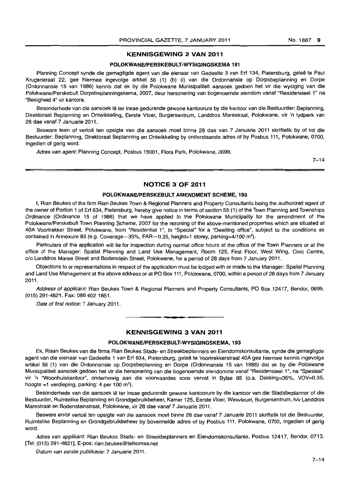#### KENNISGEWING 2 VAN 2011

#### POLOKWANE/PERSKEBULT-WYSIGINGSKEMA 191

Planning Concept synde die gemagtigde agent van die eienaar van Gedeelte 3 van Erf 134, Pietersburg, gelee te Paul Krugerstraat 22, gee hiermee ingevolge artikel 56 (1) (b) (i) van die Ordonnansie op Dorpsbeplanning en Dorpe (Ordonnansie 15 van 1986) kennis dat ek by die Polokwane Munisipaliteit aansoek gedoen het vir die wysiging van die Polokwane/Perskebult Dorpsbeplanningskema, 2007, deur hersonering van bogenoemde eiendom vanaf "Residensieel 1" na "Besigheid 4" vir kantore.

Besonderhede van die aansoek lê ter insae gedurende gewone kantoorure by die kantoor van die Bestuurder: Beplanning, Direktoraat Beplanning en Ontwikkeling, Eerste Vloer, Burgersentrum, Landdros Marestraat, Polokwane, vir 'n tydperk van 28 dae vanaf 7 Januarie 2011.

Besware teen of vertoë ten opsigte van die aansoek moet binne 28 dae van 7 Januarie 2011 skriftelik by of tot die Bestuurder: Beplanning. Direktoraat Beplanning en Ontwikkeling by onderstaande adres of by Posbus 111, Polokwane, 0700, ingedien of gerig word.

Adres van agent: Planning Concept, Posbus 15001, Flora Park, Polokwane, 0699.

 $7 - 14$ 

# **NOTICE 3 OF 2011**

#### POLOKWANE/PERSKEBULT AMENDMENT SCHEME, 193

I, Rian Beukes of the firm Rian Beukes Town & Regional Planners and Property Consultants being the authorized agent of the owner of Portion 1 of Erf 634, Pietersburg, hereby give notice in terms of section 56 (1) of the Town Planning and Townships Ordinance (Ordinance 15 of 1986) that we have applied to the Polokwane Municipality for the amendment of the Polokwane/Perskebult Town Planning Scheme, 2007 for the rezoning of the above-mentioned properties which are situated at 40A Voortrekker Street, Polokwane, from "Residential 1", to "Special" for a "Dwelling office", subject to the conditions as contained in Annexure 85 (e.g. Coverage -  $35\%$ , FAR -  $0.35$ , height=1 storey, parking= $4/100$  m<sup>2</sup>).

Particulars of the application will lie for inspection during normal office hours at the office of the Town Planners or at the office of the Manager: Spatial Planning and Land Use Management, Room 125, First Floor, West Wing, Civic Centre, c/o Landdros Maree Street and Bodenstein Street, Polokwane, for a period of 28 days from 7 January 2011.

Objections to or representations in respect of the application must be lodged with or made to the Manager: Spatial Planning and Land Use Management at the above address or at PO Box 111, Polokwane, 0700, within a period of 28 days from 7 January 2011.

Address of applicant: Rian Beukes Town & Regional Planners and Property Consultants, PO Box 12417, Bendor, 0699. (015) 291-4821. Fax: 086 602 1851.

Date of first notice: 7 January 2011.

#### KENNISGEWING 3 VAN 2011

<sup>I</sup>**••** 

#### POLOKWANE/PERSKEBULT-WYSIGINGSKEMA, 193

Ek, Riaan Beukes van die firma Rian Beukes Stads- en Streekbeplanners en Eiendomskonsultante, synde die gemagtigde agent van die eienaar van Gedeelte 1 van Erf 634, Pietersburg, geleë te Voortrekkerstraat 40A gee hiermee kennis ingevolge artikel 56 (1) van die Ordonnansie op Dorpsbeplanning en Dorpe (Ordonnansie 15 van 1986) dat ek by die Polokwane Munisipaliteit aansoek gedoen het vir die hersonering van die bogenoemde eiendomme vanaf "ResidensieeI1", na "Spesiaal" vir 'n ''Woonhuiskantoor'', onderhewig aan die voorwaardes soos vervat in Bylae 85 (o.a. Dekking=35%, VOV=O.35, hoogte =1 verdieping, parking: 4 per 100 m<sup>2</sup>).

Besonderhede van die aansoek lê ter insae gedurende gewone kantoorure by die kantoor van die Stadsbeplanner of die Bestuurder. Ruimtelike Beplanning en Grondgebruikbeheer, Kamer 125, Eerste Vloer, Wesvleuel, Burgersentrum, *hlv* Landdros Marestraat en Bodensteinstraat, Polokwane, vir 28 dae vanaf 7 Januarie 2011.

Besware en/of vertoë ten opsigte van die aansoek moet binne 28 dae vanaf 7 Januarie 2011 skriftelik tot die Bestuurder, Ruimtelike Beplanning en Grondgebruikbeheer by bovermelde adres of by Posbus 111, Polokwane, 0700, ingedien of gerig word.

Adres van applikant: Rian Beukes Stads- en Streekbeplanners en Eiendomskonsultante, Posbus 12417, Bendor, 0713. [Tel: (015) 291-4821], E·pos: rian.beukes@telkomsa.net

Datum van eerste publikasie: 7 Januarie 2011.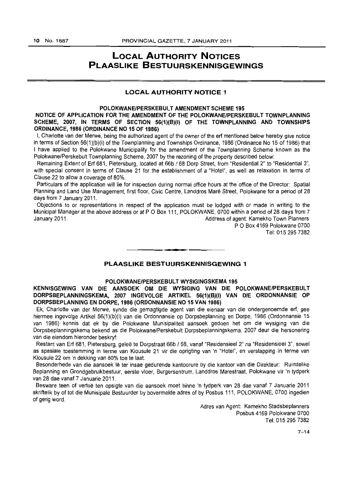# **LOCAL AUTHORITY NOTICES PLAASLIKE BESTUURSKENNISGEWINGS**

### **LOCAL AUTHORITY NOTICE 1**

# **POLOKWANE/PERSKEBULT AMENDMENT SCHEME 195**

NOTICE OF APPLICATION FOR THE AMENDMENT OF THE POLOKWANE/PERSKEBULT TOWNPLANNING SCHEME, 2007, IN TERMS OF SECTION 56(1)(B)(I) OF THE TOWNPLANNING AND TOWNSHIPS **ORDINANCE, 1986 (ORDINANCE NO 15 OF 1986)** 

I, Charlotte van der Merwe, being the authorized agent of the owner of the ert mentioned below hereby give notice in terms of Section 56(1}(b)(i) of the Townplanning and Townships Ordinance, 1986 (Ordinance No 15 of 1986) that I have applied to the Polokwane Municipality for the amendment of the Townplanning Scheme known as the Polokwane/Perskebult Townplanning Scheme, 2007 by the rezoning of the property described below:

Remaining Extent of Erf 681, Pietersburg, located at 66b / 68 Dorp Street, from "Residential 2" to "Residential 3", with special consent in terms of Clause 21 for the establishment of a "Hotel", as well as relaxation in terms of Clause 22 to allow a coverage of 80%.

Particulars of the application will lie for inspection during normal office hours at the office of the Director: Spatial Planning and Land Use Management, first floor, Civic Centre, Landdros Maré Street, Polokwane for a period of 28 days from 7 January 2011.

Objections to or representations in respect of the application must be lodged with or made in writing to the Municipal Manager at the above address or at P O Box 111, POLOKWANE, 0700 within a period of 28 days from 7 January 2011. Address of agent: Kamekho Town Planners

P O Box 4169 Polokwane 0700 Tel: 0152957382

# **PLAASLIKE BESTUURSKENNISGEWING 1**

• **- I** 

#### **POLOKWANE/PERSKEBULT WYSIGINGSKEMA 195**

**KENNISGEWING VAN** DIE **AANSOEK OM DIE WYSIGING VAN DIE POLOKWANEfPERSKEBULT DORPSBEPLANNINGSKEMA, 2007 INGEVOLGE ARTIKEL 56(1)(B)(I) VAN DIE ORDONNANSIE OP DORPSBEPLANNING EN DORPE, 1986 (ORDONNANSIE NO 15 VAN 1986)** 

Ek, Charlotte van der Merwe, synde die gemagtigde agent van die eienaar van die ondergenoemde ert, gee hiermee ingevolge Artikel 56(1)(b)(i) van die Ordonnansie op Dorpsbeplanning en Dorpe, 1986 (Ordonnansie 15 van 1986) kennis dat ek by die Polokwane Munisipaliteit aansoek gedoen het om die wysiging van die Dorpsbeplanningskema bekend as die Polokwane/Perskebult Dorpsbeplanningskema, 2007 deur die hersonering van die eiendom hieronder beskryf:

Restant van Erf 681, Pietersburg, geleë te Dorpstraat 66b / 68, vanaf "Residensieel 2" na "Residensieel 3", sowel as spesiale toestemming in terme van Klousule 21 vir die oprigting van 'n "Hotel", en verslapping in terme van Klousule 22 am 'n dekking van 80% toe te laat.

Besonderhede van die aansoek lê ter insae gedurende kantoorure by die kantoor van die Direkteur: Ruimtelike Beplanning en Grondgebruikbestuur, eerste vloer, Burgersentrum, Landdros Marestraat, Polokwane vir 'n tydperk van 28 dae vanaf 7 Januarie 2011.

Besware teen of vertoe ten opsigte van die aansoek moet binne 'n tydperk van 28 dae vanaf 7 Januarie 2011 skriftelik by of tot die Munisipale Bestuurder by bovermelde adres of by Posbus 111, POLOKWANE, 0700 ingedien of gerig word.

> Adres van Agent: Kamekho Stadsbeplanners Posbus 4169 Polokwane 0700 Tel: 015 295 7382

> > $7 - 14$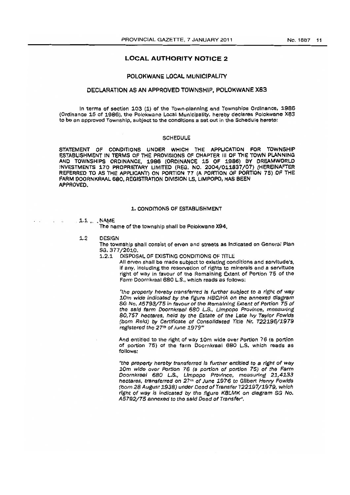#### **LOCAL AUTHORITY NOTICE 2**

#### POLOKWANE LOCAL MUNICIPALITY

#### DECLARATION AS AN APPROVED TOWNSHIP, POLOKWANE X8S

In terms of section 103 (1) of the Town-planning and Townships Ordinance, 1986 (Ordinance 15 of 1986), the Polokwane Local Municipality, hereby declares Polokwane X83 to be an approved Township, subject to the conditions a set out in the Schedule hereto:

#### **SCHEDULE**

STATEMENT OF' CONDITIONS UNOER WHICH THE APPLICATION FOR TOWNSHIP ESTABLISHMENT IN TERMS OF THE PROVISIONS OF CHAPTER III OF THE TOWN PLANNING AND TOWNSHIPS ORDINANCE, 1986 (OROINANCE 15 OF 1986) BY OREAMWORLD INVESTMENTS 170 PROPRIETARY LIMITED (REG. NO. 2004/011837/07) (HEREINAFTER REFERRED TO AS THE APPLICANT) ON PORTION 77 (A PORTION OF PORTION 75) OF THE FARM DOORNKRAAL 680, REGISTRATION DIVISION LS, LIMPOPO, HAS BEEN APPROVED.

#### 1. CONDITIONS OF ESTABLISHMENT

### $1.1$  v.  $\blacksquare$  NAME

The name of the township shall be Polokwane X94,

1.2 OESIGN

The township shall consist of erven and streets as Indicated on General Plan SG. 377/2010.<br>1.2.1 DISPOS

DISPOSAL OF EXISTING CONDITIONS OF TITLE

All erven shall be made subject to existing conditions and servitude's, if any, including the reservation of rights to minerals and a servitude right of way in favour of the Remaining Extent of Portion 75 of the Farm Doornkraal 680 L.S., which reads as follows:

"the property hereby transferred Is further subject to a right of wey 10m wide indicated by the figure HBCJHA on the annexed diagram SG No. A5793/75 in favour of the Remaining Extent of Portion 75 of the said farm Doornkraal 680 L.S., Limpopo Province, measuring 80,757 hectares, held by the fstate of the Late Ivy Taylor Fow/ds (born Reid) by Cartificate of Consolidated Title Nr. T22196/1979 roglsterod the *27th* of June 1979"'

And entitled to the right of way 10m wide over Portion 78 (a portion of portion 76) of the farm Doornkraal 680 L.S. whioh reads as follows:

"the property hereby transferred is further entitied to a right of way 10m wide over Portion 76 (a portion of portion 75) of the Farm Doornkraal 680 L.S., Limpopo Province, measuring 21,4133 hectares, transferred on 27<sup>th</sup> of June 1976 to Gilbert Henry Fowlds (born 28 August 1938) under Deed of Transfer T22197/1979, which right of way is indicated by the figure KBLMK on diagram SG No. A5792/75 annexed to the said Deed of Transfer".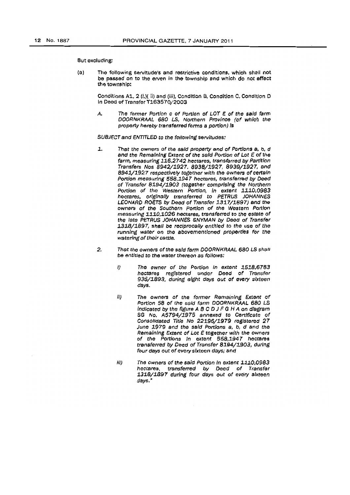#### But excluding:

(a) The following servitude's and restrictive conditions, which shall not be passed on to the erven in the township and which do not effect the township:

> Conditions A1, 2 (i,)( ii) and (iii). Condition B. Condition C. Condition D In Deed of Transfer T163570/2003

> A. The former Portion c of Portion of LOT E of the said farm DOORNKRAAL 680 LS, Northern Province (of which the property hereby transferred forms a portion) is

SUBJECT and ENTITLED to the following servitudes:

- 1. That the owners of the said property and of Portions a, b, d and the Remaining Extent of the said Portion of Lot E of the farm, measuring 116,2742 hectares, transferred by Partition Transfers Nos 8942/1927. 8938/1927, 8939/2927, and 8941/1927 respecrlvefy together with *the* owners of certain Portion measuring 558,1947 hectares, transferred by Deed of Transfer 8194/1903 (together comprising the Northern Portion of the Western Portion, in extent 1110,0983 hecrares. originally transferred *to* PETRUS JOHANNES LEONARD ROETS by Deed of Transfer 1317/1897) and the owners of the Southern Portion of the Western Portion measuring 1110,1026 hectares, transferred to the estate of the late PETRUS JOHANNES SNYMAN by Deed of Transfer 3.318/1897, shall be reciprocally entitled to the use of the running water on the abovementloned properties for the watering of their cattle.
- 2. That the owners of the said farm DOORNKRAAL 680 LS shall be entitled to the water thereon as follows:
	- I) The owner of the Portion In extent 1518,6783 hectares registered under Deed of Transfer 935/1893, during eight days out of every sixteen days.
	- *ll)* The owners of the former Remaining Extent of Portion 58 of the said farm DOORNKRAAL 680 LS indicated *by* the figure ABC D J F G H A on dfagram SG No. AS794/1975 annexed to Certificate of Consolidated 'fltle No 22196/1979 raglstered 27 June 1979 and the said Portions a, b, d and the Remaining Extent of Lot E together with the owners of the Portions In extent 558.1947 hectares transferred *by* Deed of Transfer 8194/1903, during four days out of every sixteen days; and
	- III) The owners of the said Portion in extent 1110,0983 hectares, transferred *by* De¢d of Transfer 1318/1897 during four days out of every sixteen days."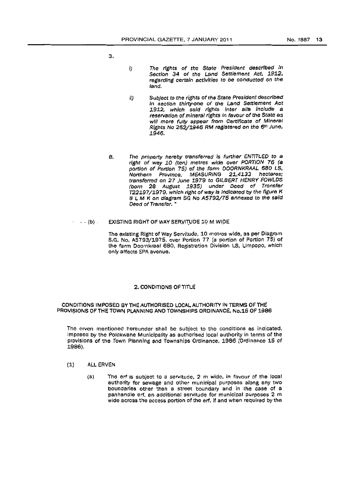s.

- I) The rights of the State President described In Section 34 of the Land Settlement Act, 1912, regarding certain activities to be oonducted on the land.
- Ii) Subject to the rights of the State President described In section thirty-one of the Land Settlement Act 1912, which said rights inter alla include a reservation of mineral rights in favour of the State as will more fully appear from Certificate of Minerai Rights No 252/1946 RM registered on the 6th June, .1946.
- B. The property hereby transferred is further ENTITLED to a right of way 10 (ten) metres wide over PORTION 76 (a portion of Portion 75) of the farm DOORNKRAAL 680 LS, Northern Province. MEASuRING 21,4133 hectares; transferred on 27 June 1979 to GILBERT HENRY FOWLDS (born 28 August 1935) under Deed of Transfer 122197/1979, which right of way is indicated by the figure K B L M K on diagram SG No A5792/75 annexed to the said Deed of Transfer. \*

#### $\cdot \cdot \cdot (b)$  . EXISTING RIGHT OF WAY SERVITUDE 10 M WIDE

The existing Right of Way Servitude, 10 metros wide, as per Diagram S.G. No. A5793/1975, over Portion 77 (a portion of Portion 75) of the farm Doornkraal 680, Registration Division LS, Limpopo, which only affects EPA avenue.

#### 2. CONDITIONS OF TITLE

#### CONDITIONS IMPOSED BY THE AUTHORISED LOCAL AUTHORITY IN TERMS OF THE PROVISIONS OF THE TOWN PLANNING AND TOWNSHIPS ORDINANCE, No.15 OF 1986

The erven mentioned hereunder shall be subject to the conditions as indicated, iniposed by the Polokwane Municipality as authorised local authority in terms of the provisions of the Town Planning and Townships Ordinance, 1986 (Ordinance 15 of 1966).

- (1) ALL ERVEN
	- (a) The erf is subjeot to a servitude, 2 m wide, in favour of the looal authority for sewage and other municipal purposes along any two boundaries other than a street boundary and in the case of a panhandle ert, an additional servitude for municipal purposes 2 m wide across the access portion of the erf, if and when required by the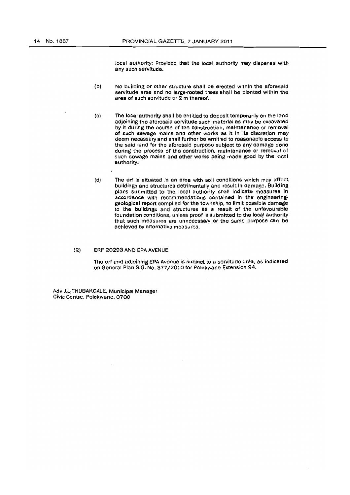local authority: Provided that the local authority may dispense with any such servitude.

- (b) No building or other structure shall be erected within the aforesaid servitude area and no large-rooted trees shall be planted within the area of such servitude or  $2 \text{ m}$  thereof.
- (c) The local authority shall be entitled to deposit temporarily on the land adjoining the aforesaid servitude such material as may be excavated by it during the course of the construction, maintenance or removal of such sewage mains and other works as It In its disorotion may deem neoessary and shall further be entitled to reasonable access to the said land for the aforesaid purpose subject to any damage dona during the process of the construction, maintenance or removal of such sewage mains and other works being made good by the local authority.
- $(d)$  The erf is situated in an area with soil conditions which may affect buildings and structures detrimentally and reSult In damage. Building plans submitted to the local authority shall indicate measures in accordance with recommendations contaIned in the engineerlnggeological report compiled for the township, to limit possible damage to the buildings and structures as a result of the unfavourable foundation conditions, unless proof is submitted to the local authority that such measures are unnecessary or the same purpose can be achieved by alternative measures.
- (2) ERF 20293 ANO EPA AVENUE

The erf and adjoining EPA Avenue is subject to a servitude area, as indicated .on General Plan S.G. No. 377/2010 for Polokwane Extension 94.

Adv J.L:THUSAKGALE, MunicIpal Manager Civic Centre, Polokwane, 0700